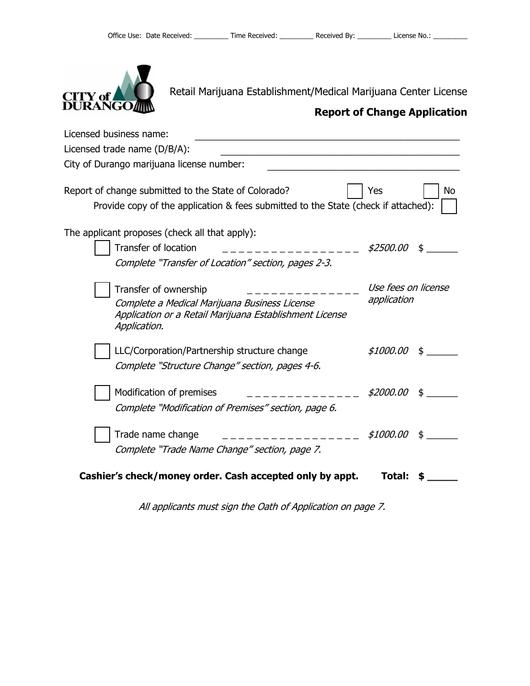

Retail Marijuana Establishment/Medical Marijuana Center License

| Licensed business name:                                                                                                                           |                                    |    |
|---------------------------------------------------------------------------------------------------------------------------------------------------|------------------------------------|----|
| Licensed trade name (D/B/A):                                                                                                                      |                                    |    |
| City of Durango marijuana license number:                                                                                                         |                                    |    |
| Report of change submitted to the State of Colorado?<br>Provide copy of the application & fees submitted to the State (check if attached):        | Yes                                | No |
| The applicant proposes (check all that apply):                                                                                                    |                                    |    |
| <b>Transfer of location</b>                                                                                                                       | \$2500.00                          |    |
| Complete "Transfer of Location" section, pages 2-3.                                                                                               |                                    |    |
| Transfer of ownership<br>Complete a Medical Marijuana Business License<br>Application or a Retail Marijuana Establishment License<br>Application. | Use fees on license<br>application |    |
| LLC/Corporation/Partnership structure change<br>Complete "Structure Change" section, pages 4-6.                                                   | \$1000.00                          | \$ |
| Modification of premises<br>Complete "Modification of Premises" section, page 6.                                                                  | \$2000.00                          |    |
| Trade name change<br>Complete "Trade Name Change" section, page 7.                                                                                | <i>\$1000.00</i>                   | \$ |
| Cashier's check/money order. Cash accepted only by appt.                                                                                          | Total:                             |    |

All applicants must sign the Oath of Application on page 7.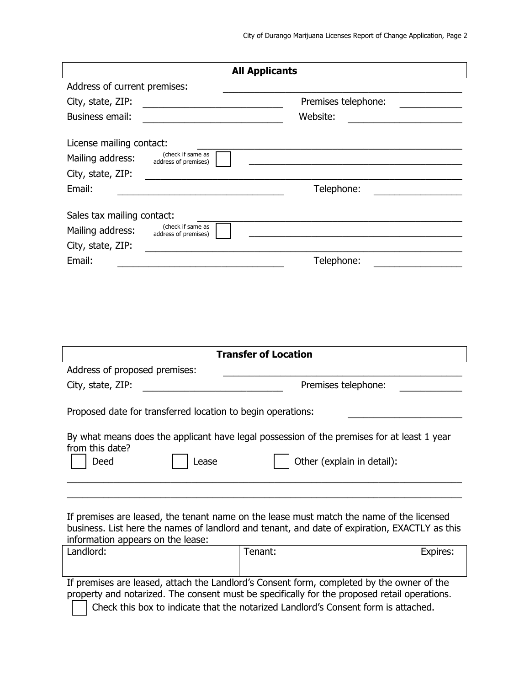| <b>All Applicants</b>                                               |                                                                                               |          |  |
|---------------------------------------------------------------------|-----------------------------------------------------------------------------------------------|----------|--|
| Address of current premises:                                        |                                                                                               |          |  |
| City, state, ZIP:                                                   | Premises telephone:                                                                           |          |  |
| Business email:                                                     | Website:                                                                                      |          |  |
|                                                                     |                                                                                               |          |  |
| License mailing contact:                                            |                                                                                               |          |  |
| (check if same as<br>Mailing address:<br>address of premises)       |                                                                                               |          |  |
| City, state, ZIP:                                                   |                                                                                               |          |  |
| Email:                                                              | Telephone:                                                                                    |          |  |
|                                                                     |                                                                                               |          |  |
| Sales tax mailing contact:<br>(check if same as<br>Mailing address: |                                                                                               |          |  |
| address of premises)<br>City, state, ZIP:                           |                                                                                               |          |  |
| Email:                                                              | Telephone:                                                                                    |          |  |
|                                                                     |                                                                                               |          |  |
|                                                                     |                                                                                               |          |  |
|                                                                     |                                                                                               |          |  |
|                                                                     |                                                                                               |          |  |
|                                                                     |                                                                                               |          |  |
|                                                                     | <b>Transfer of Location</b>                                                                   |          |  |
| Address of proposed premises:                                       |                                                                                               |          |  |
| City, state, ZIP:                                                   | Premises telephone:                                                                           |          |  |
|                                                                     |                                                                                               |          |  |
| Proposed date for transferred location to begin operations:         |                                                                                               |          |  |
|                                                                     |                                                                                               |          |  |
|                                                                     | By what means does the applicant have legal possession of the premises for at least 1 year    |          |  |
| from this date?<br>Deed<br>Lease                                    | Other (explain in detail):                                                                    |          |  |
|                                                                     |                                                                                               |          |  |
|                                                                     |                                                                                               |          |  |
|                                                                     |                                                                                               |          |  |
|                                                                     | If premises are leased, the tenant name on the lease must match the name of the licensed      |          |  |
|                                                                     | business. List here the names of landlord and tenant, and date of expiration, EXACTLY as this |          |  |
| information appears on the lease:<br>Landlord:                      | Tenant:                                                                                       | Expires: |  |
|                                                                     |                                                                                               |          |  |
|                                                                     | If premises are leased, attach the Landlord's Consent form, completed by the owner of the     |          |  |
|                                                                     | property and notarized. The consent must be specifically for the proposed retail operations.  |          |  |
|                                                                     | Check this box to indicate that the notarized Landlord's Consent form is attached.            |          |  |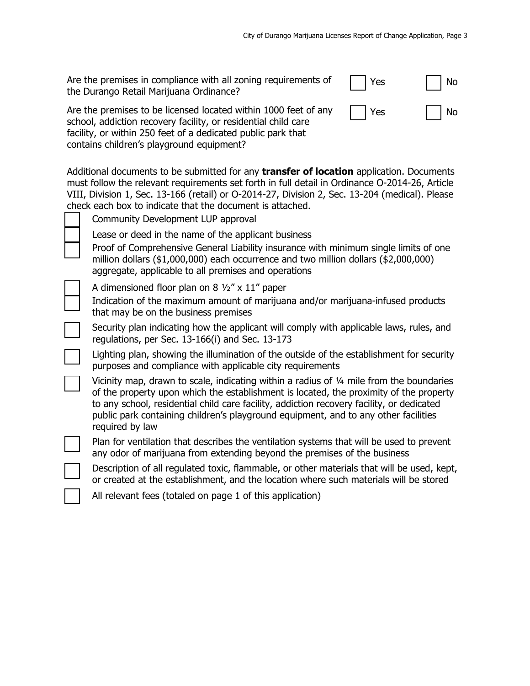| Are the premises in compliance with all zoning requirements of<br>the Durango Retail Marijuana Ordinance? | $\vert$   Yes       | $\overline{\phantom{a}}$ No |
|-----------------------------------------------------------------------------------------------------------|---------------------|-----------------------------|
| Are the premises to be licensed located within 1000 feet of any                                           | $\vert$ $\vert$ Yes | l No                        |

school, addiction recovery facility, or residential child care facility, or within 250 feet of a dedicated public park that contains children's playground equipment?

Additional documents to be submitted for any **transfer of location** application. Documents must follow the relevant requirements set forth in full detail in Ordinance O-2014-26, Article VIII, Division 1, Sec. 13-166 (retail) or O-2014-27, Division 2, Sec. 13-204 (medical). Please check each box to indicate that the document is attached.

| Community Development LUP approval                                                                                                                                                                                                                                                                                                                                                                  |
|-----------------------------------------------------------------------------------------------------------------------------------------------------------------------------------------------------------------------------------------------------------------------------------------------------------------------------------------------------------------------------------------------------|
| Lease or deed in the name of the applicant business                                                                                                                                                                                                                                                                                                                                                 |
| Proof of Comprehensive General Liability insurance with minimum single limits of one<br>million dollars $(\$1,000,000)$ each occurrence and two million dollars $(\$2,000,000)$<br>aggregate, applicable to all premises and operations                                                                                                                                                             |
| A dimensioned floor plan on 8 $\frac{1}{2}$ x 11" paper                                                                                                                                                                                                                                                                                                                                             |
| Indication of the maximum amount of marijuana and/or marijuana-infused products<br>that may be on the business premises                                                                                                                                                                                                                                                                             |
| Security plan indicating how the applicant will comply with applicable laws, rules, and<br>regulations, per Sec. 13-166(i) and Sec. 13-173                                                                                                                                                                                                                                                          |
| Lighting plan, showing the illumination of the outside of the establishment for security<br>purposes and compliance with applicable city requirements                                                                                                                                                                                                                                               |
| Vicinity map, drawn to scale, indicating within a radius of $\frac{1}{4}$ mile from the boundaries<br>of the property upon which the establishment is located, the proximity of the property<br>to any school, residential child care facility, addiction recovery facility, or dedicated<br>public park containing children's playground equipment, and to any other facilities<br>required by law |
| Plan for ventilation that describes the ventilation systems that will be used to prevent<br>any odor of marijuana from extending beyond the premises of the business                                                                                                                                                                                                                                |
| Description of all regulated toxic, flammable, or other materials that will be used, kept,<br>or created at the establishment, and the location where such materials will be stored                                                                                                                                                                                                                 |
| All relevant fees (totaled on page 1 of this application)                                                                                                                                                                                                                                                                                                                                           |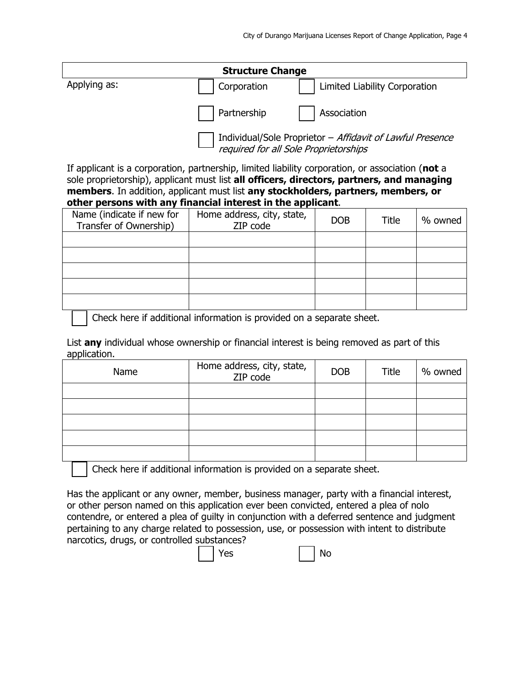| <b>Structure Change</b> |             |                                                           |  |
|-------------------------|-------------|-----------------------------------------------------------|--|
| Applying as:            | Corporation | Limited Liability Corporation                             |  |
|                         | Partnership | Association                                               |  |
|                         |             | Individual/Sole Proprietor - Affidavit of Lawful Presence |  |

required for all Sole Proprietorships

If applicant is a corporation, partnership, limited liability corporation, or association (**not** a sole proprietorship), applicant must list **all officers, directors, partners, and managing members**. In addition, applicant must list **any stockholders, partners, members, or other persons with any financial interest in the applicant**.

| Name (indicate if new for<br>Transfer of Ownership) | Home address, city, state,<br>ZIP code | <b>DOB</b> | Title | % owned |
|-----------------------------------------------------|----------------------------------------|------------|-------|---------|
|                                                     |                                        |            |       |         |
|                                                     |                                        |            |       |         |
|                                                     |                                        |            |       |         |
|                                                     |                                        |            |       |         |
|                                                     |                                        |            |       |         |

Check here if additional information is provided on a separate sheet.

List **any** individual whose ownership or financial interest is being removed as part of this application.

| Name | Home address, city, state,<br>ZIP code | <b>DOB</b> | Title | % owned |
|------|----------------------------------------|------------|-------|---------|
|      |                                        |            |       |         |
|      |                                        |            |       |         |
|      |                                        |            |       |         |
|      |                                        |            |       |         |
|      |                                        |            |       |         |

Check here if additional information is provided on a separate sheet.

Has the applicant or any owner, member, business manager, party with a financial interest, or other person named on this application ever been convicted, entered a plea of nolo contendre, or entered a plea of guilty in conjunction with a deferred sentence and judgment pertaining to any charge related to possession, use, or possession with intent to distribute narcotics, drugs, or controlled substances?



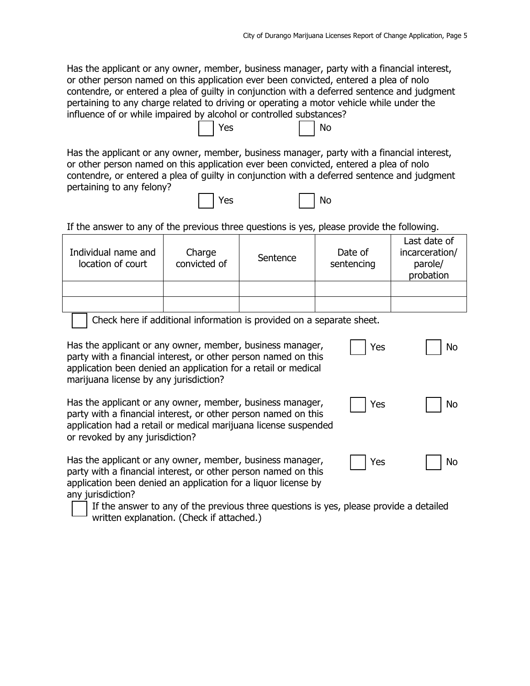Has the applicant or any owner, member, business manager, party with a financial interest, or other person named on this application ever been convicted, entered a plea of nolo contendre, or entered a plea of guilty in conjunction with a deferred sentence and judgment pertaining to any charge related to driving or operating a motor vehicle while under the influence of or while impaired by alcohol or controlled substances?

Has the applicant or any owner, member, business manager, party with a financial interest, or other person named on this application ever been convicted, entered a plea of nolo contendre, or entered a plea of guilty in conjunction with a deferred sentence and judgment pertaining to any felony?  $\Box$   $\lor$   $\lhd$   $\lhd$   $\lhd$   $\lhd$   $\lhd$   $\lhd$   $\lhd$   $\lhd$ 

| ı | $-$ |  | _ |
|---|-----|--|---|
|   |     |  |   |

If the answer to any of the previous three questions is yes, please provide the following.

| Individual name and<br>location of court | Charge<br>convicted of | Sentence | Date of<br>sentencing | Last date of<br>incarceration/<br>parole/<br>probation |
|------------------------------------------|------------------------|----------|-----------------------|--------------------------------------------------------|
|                                          |                        |          |                       |                                                        |
|                                          |                        |          |                       |                                                        |

Check here if additional information is provided on a separate sheet.

Has the applicant or any owner, member, business manager, party with a financial interest, or other person named on this application been denied an application for a retail or medical marijuana license by any jurisdiction?

**Solution Service State Service State State State State State State State State State State State State State State State State State State State State State State State State State State State State State State State Stat** 

| Has the applicant or any owner, member, business manager,       |
|-----------------------------------------------------------------|
| party with a financial interest, or other person named on this  |
| application had a retail or medical marijuana license suspended |
| or revoked by any jurisdiction?                                 |

Has the applicant or any owner, member, business manager, party with a financial interest, or other person named on this application been denied an application for a liquor license by any jurisdiction?

 If the answer to any of the previous three questions is yes, please provide a detailed written explanation. (Check if attached.)

| Yes | No |
|-----|----|
| Yes | No |

|  | ′ ∩⊂ |  | Nο |
|--|------|--|----|
|--|------|--|----|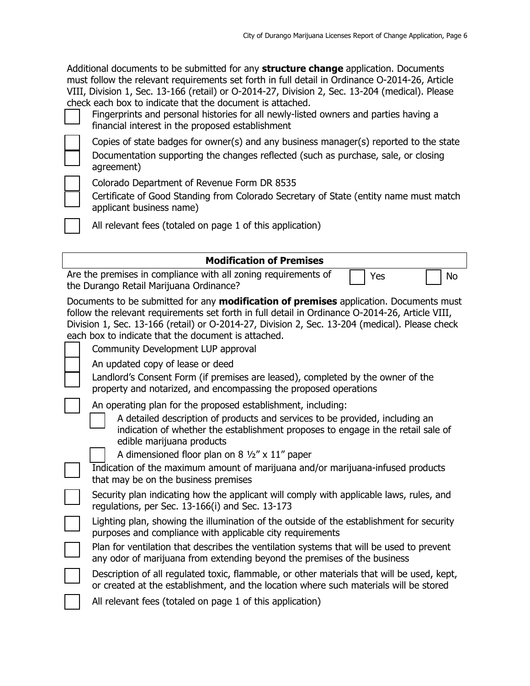Additional documents to be submitted for any **structure change** application. Documents must follow the relevant requirements set forth in full detail in Ordinance O-2014-26, Article VIII, Division 1, Sec. 13-166 (retail) or O-2014-27, Division 2, Sec. 13-204 (medical). Please check each box to indicate that the document is attached.

 Fingerprints and personal histories for all newly-listed owners and parties having a financial interest in the proposed establishment

 Copies of state badges for owner(s) and any business manager(s) reported to the state Documentation supporting the changes reflected (such as purchase, sale, or closing agreement)

Colorado Department of Revenue Form DR 8535

 Certificate of Good Standing from Colorado Secretary of State (entity name must match applicant business name)

All relevant fees (totaled on page 1 of this application)

| <b>Modification of Premises</b>                                                                                                                                                                                                                                                                                                                                                                 |  |  |  |  |
|-------------------------------------------------------------------------------------------------------------------------------------------------------------------------------------------------------------------------------------------------------------------------------------------------------------------------------------------------------------------------------------------------|--|--|--|--|
| Are the premises in compliance with all zoning requirements of<br>Yes<br>No<br>the Durango Retail Marijuana Ordinance?                                                                                                                                                                                                                                                                          |  |  |  |  |
| Documents to be submitted for any <b>modification of premises</b> application. Documents must<br>follow the relevant requirements set forth in full detail in Ordinance O-2014-26, Article VIII,<br>Division 1, Sec. 13-166 (retail) or O-2014-27, Division 2, Sec. 13-204 (medical). Please check<br>each box to indicate that the document is attached.<br>Community Development LUP approval |  |  |  |  |
| An updated copy of lease or deed<br>Landlord's Consent Form (if premises are leased), completed by the owner of the<br>property and notarized, and encompassing the proposed operations                                                                                                                                                                                                         |  |  |  |  |
| An operating plan for the proposed establishment, including:<br>A detailed description of products and services to be provided, including an<br>indication of whether the establishment proposes to engage in the retail sale of<br>edible marijuana products                                                                                                                                   |  |  |  |  |
| A dimensioned floor plan on 8 $\frac{1}{2}$ x 11" paper<br>Indication of the maximum amount of marijuana and/or marijuana-infused products<br>that may be on the business premises                                                                                                                                                                                                              |  |  |  |  |
| Security plan indicating how the applicant will comply with applicable laws, rules, and<br>regulations, per Sec. 13-166(i) and Sec. 13-173                                                                                                                                                                                                                                                      |  |  |  |  |
| Lighting plan, showing the illumination of the outside of the establishment for security<br>purposes and compliance with applicable city requirements                                                                                                                                                                                                                                           |  |  |  |  |
| Plan for ventilation that describes the ventilation systems that will be used to prevent<br>any odor of marijuana from extending beyond the premises of the business                                                                                                                                                                                                                            |  |  |  |  |
| Description of all regulated toxic, flammable, or other materials that will be used, kept,<br>or created at the establishment, and the location where such materials will be stored                                                                                                                                                                                                             |  |  |  |  |
| All relevant fees (totaled on page 1 of this application)                                                                                                                                                                                                                                                                                                                                       |  |  |  |  |